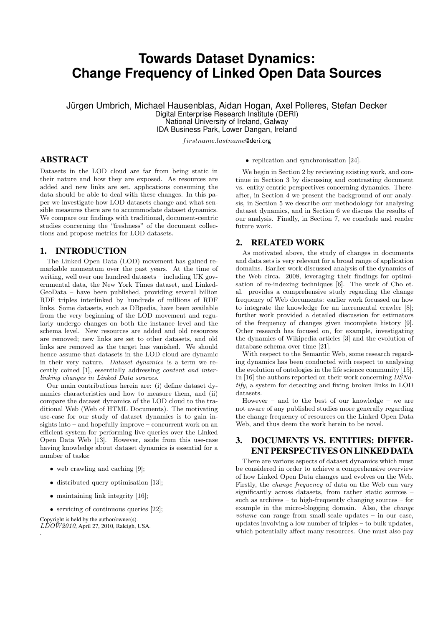# **Towards Dataset Dynamics: Change Frequency of Linked Open Data Sources**

Jürgen Umbrich, Michael Hausenblas, Aidan Hogan, Axel Polleres, Stefan Decker Digital Enterprise Research Institute (DERI) National University of Ireland, Galway

IDA Business Park, Lower Dangan, Ireland

f irstname.lastname@deri.org

# ABSTRACT

Datasets in the LOD cloud are far from being static in their nature and how they are exposed. As resources are added and new links are set, applications consuming the data should be able to deal with these changes. In this paper we investigate how LOD datasets change and what sensible measures there are to accommodate dataset dynamics. We compare our findings with traditional, document-centric studies concerning the "freshness" of the document collections and propose metrics for LOD datasets.

## 1. INTRODUCTION

The Linked Open Data (LOD) movement has gained remarkable momentum over the past years. At the time of writing, well over one hundred datasets – including UK governmental data, the New York Times dataset, and Linked-GeoData – have been published, providing several billion RDF triples interlinked by hundreds of millions of RDF links. Some datasets, such as DBpedia, have been available from the very beginning of the LOD movement and regularly undergo changes on both the instance level and the schema level. New resources are added and old resources are removed; new links are set to other datasets, and old links are removed as the target has vanished. We should hence assume that datasets in the LOD cloud are dynamic in their very nature. Dataset dynamics is a term we recently coined [1], essentially addressing content and interlinking changes in Linked Data sources.

Our main contributions herein are: (i) define dataset dynamics characteristics and how to measure them, and (ii) compare the dataset dynamics of the LOD cloud to the traditional Web (Web of HTML Documents). The motivating use-case for our study of dataset dynamics is to gain insights into – and hopefully improve – concurrent work on an efficient system for performing live queries over the Linked Open Data Web [13]. However, aside from this use-case having knowledge about dataset dynamics is essential for a number of tasks:

- web crawling and caching [9];
- distributed query optimisation [13];
- maintaining link integrity [16];
- servicing of continuous queries [22];

Copyright is held by the author/owner(s).  $LDOW2010$ , April 27, 2010, Raleigh, USA.

.

• replication and synchronisation [24].

We begin in Section 2 by reviewing existing work, and continue in Section 3 by discussing and contrasting document vs. entity centric perspectives concerning dynamics. Thereafter, in Section 4 we present the background of our analysis, in Section 5 we describe our methodology for analysing dataset dynamics, and in Section 6 we discuss the results of our analysis. Finally, in Section 7, we conclude and render future work.

## 2. RELATED WORK

As motivated above, the study of changes in documents and data sets is very relevant for a broad range of application domains. Earlier work discussed analysis of the dynamics of the Web circa. 2008, leveraging their findings for optimisation of re-indexing techniques [6]. The work of Cho et. al. provides a comprehensive study regarding the change frequency of Web documents: earlier work focussed on how to integrate the knowledge for an incremental crawler [8]; further work provided a detailed discussion for estimators of the frequency of changes given incomplete history [9]. Other research has focused on, for example, investigating the dynamics of Wikipedia articles [3] and the evolution of database schema over time [21].

With respect to the Semantic Web, some research regarding dynamics has been conducted with respect to analysing the evolution of ontologies in the life science community [15]. In [16] the authors reported on their work concerning DSNotify, a system for detecting and fixing broken links in LOD datasets.

However – and to the best of our knowledge – we are not aware of any published studies more generally regarding the change frequency of resources on the Linked Open Data Web, and thus deem the work herein to be novel.

# 3. DOCUMENTS VS. ENTITIES: DIFFER-ENT PERSPECTIVES ON LINKED DATA

There are various aspects of dataset dynamics which must be considered in order to achieve a comprehensive overview of how Linked Open Data changes and evolves on the Web. Firstly, the change frequency of data on the Web can vary significantly across datasets, from rather static sources – such as archives – to high-frequently changing sources – for example in the micro-blogging domain. Also, the change volume can range from small-scale updates – in our case, updates involving a low number of triples – to bulk updates, which potentially affect many resources. One must also pay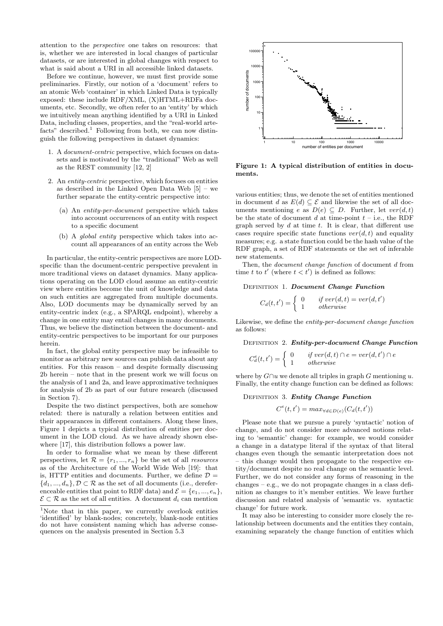attention to the perspective one takes on resources: that is, whether we are interested in local changes of particular datasets, or are interested in global changes with respect to what is said about a URI in all accessible linked datasets.

Before we continue, however, we must first provide some preliminaries. Firstly, our notion of a 'document' refers to an atomic Web 'container' in which Linked Data is typically exposed: these include RDF/XML, (X)HTML+RDFa documents, etc. Secondly, we often refer to an 'entity' by which we intuitively mean anything identified by a URI in Linked Data, including classes, properties, and the "real-world artefacts" described.<sup>1</sup> Following from both, we can now distinguish the following perspectives in dataset dynamics:

- 1. A document-centric perspective, which focuses on datasets and is motivated by the "traditional" Web as well as the REST community [12, 2]
- 2. An entity-centric perspective, which focuses on entities as described in the Linked Open Data Web [5] – we further separate the entity-centric perspective into:
	- (a) An entity-per-document perspective which takes into account occurrences of an entity with respect to a specific document
	- (b) A global entity perspective which takes into account all appearances of an entity across the Web

In particular, the entity-centric perspectives are more LODspecific than the document-centric perspective prevalent in more traditional views on dataset dynamics. Many applications operating on the LOD cloud assume an entity-centric view where entities become the unit of knowledge and data on such entities are aggregated from multiple documents. Also, LOD documents may be dynamically served by an entity-centric index (e.g., a SPARQL endpoint), whereby a change in one entity may entail changes in many documents. Thus, we believe the distinction between the document- and entity-centric perspectives to be important for our purposes herein.

In fact, the global entity perspective may be infeasible to monitor as arbitrary new sources can publish data about any entities. For this reason – and despite formally discussing 2b herein – note that in the present work we will focus on the analysis of 1 and 2a, and leave approximative techniques for analysis of 2b as part of our future research (discussed in Section 7).

Despite the two distinct perspectives, both are somehow related: there is naturally a relation between entities and their appearances in different containers. Along these lines, Figure 1 depicts a typical distribution of entities per document in the LOD cloud. As we have already shown elsewhere [17], this distribution follows a power law.

In order to formalise what we mean by these different perspectives, let  $\mathcal{R} = \{r_1, ..., r_n\}$  be the set of all *resources* as of the Architecture of the World Wide Web [19]: that is, HTTP entities and documents. Further, we define  $\mathcal{D} =$  ${d_1, ..., d_n}$ ,  $\mathcal{D} \subset \mathcal{R}$  as the set of all documents (i.e., dereferenceable entities that point to RDF data) and  $\mathcal{E} = \{e_1, ..., e_n\}$ ,  $\mathcal{E} \subset \mathcal{R}$  as the set of all entities. A document  $d_i$  can mention



Figure 1: A typical distribution of entities in documents.

various entities; thus, we denote the set of entities mentioned in document d as  $E(d) \subseteq \mathcal{E}$  and likewise the set of all documents mentioning e as  $D(e) \subseteq D$ . Further, let  $ver(d, t)$ be the state of document d at time-point  $t - i.e.,$  the RDF graph served by  $d$  at time  $t$ . It is clear, that different use cases require specific state functions  $ver(d, t)$  and equality measures; e.g. a state function could be the hash value of the RDF graph, a set of RDF statements or the set of inferable new statements.

Then, the *document change function* of document d from time t to  $t'$  (where  $t < t'$ ) is defined as follows:

#### DEFINITION 1. Document Change Function

$$
C_d(t, t') = \begin{cases} 0 & if \text{ ver}(d, t) = \text{ver}(d, t')\\ 1 & otherwise \end{cases}
$$

Likewise, we define the entity-per-document change function as follows:

DEFINITION 2. Entity-per-document Change Function

$$
C_d^e(t, t') = \begin{cases} 0 & \text{if } ver(d, t) \cap e = ver(d, t') \cap e \\ 1 & \text{otherwise} \end{cases}
$$

where by  $G \cap u$  we denote all triples in graph G mentioning u. Finally, the entity change function can be defined as follows:

DEFINITION 3. Entity Change Function

$$
C^e(t, t') = \max_{\forall d \in D(e)} (C_d(t, t'))
$$

Please note that we pursue a purely 'syntactic' notion of change, and do not consider more advanced notions relating to 'semantic' change: for example, we would consider a change in a datatype literal if the syntax of that literal changes even though the semantic interpretation does not – this change would then propagate to the respective entity/document despite no real change on the semantic level. Further, we do not consider any forms of reasoning in the changes – e.g., we do not propagate changes in a class definition as changes to it's member entities. We leave further discussion and related analysis of 'semantic vs. syntactic change' for future work.

It may also be interesting to consider more closely the relationship between documents and the entities they contain, examining separately the change function of entities which

<sup>&</sup>lt;sup>1</sup>Note that in this paper, we currently overlook entities 'identified' by blank-nodes; concretely, blank-node entities do not have consistent naming which has adverse consequences on the analysis presented in Section 5.3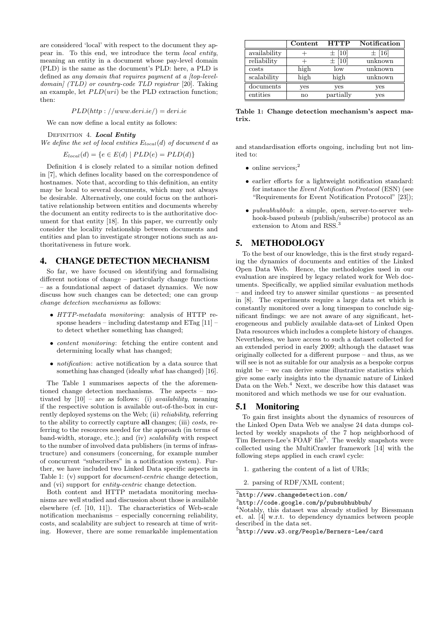are considered 'local' with respect to the document they appear in. To this end, we introduce the term local entity, meaning an entity in a document whose pay-level domain (PLD) is the same as the document's PLD: here, a PLD is defined as any domain that requires payment at a [top-leveldomain] (TLD) or country-code TLD registrar [20]. Taking an example, let  $PLD(uri)$  be the PLD extraction function; then:

$$
PLD(http://www.deri.ie/)=deri.ie
$$

We can now define a local entity as follows:

DEFINITION 4. Local Entity

We define the set of local entities  $E_{local}(d)$  of document d as

$$
E_{local}(d) = \{e \in E(d) \mid PLD(e) = PLD(d)\}
$$

Definition 4 is closely related to a similar notion defined in [7], which defines locality based on the correspondence of hostnames. Note that, according to this definition, an entity may be local to several documents, which may not always be desirable. Alternatively, one could focus on the authoritative relationship between entities and documents whereby the document an entity redirects to is the authoritative document for that entity [18]. In this paper, we currently only consider the locality relationship between documents and entities and plan to investigate stronger notions such as authoritativeness in future work.

## 4. CHANGE DETECTION MECHANISM

So far, we have focused on identifying and formalising different notions of change – particularly change functions – as a foundational aspect of dataset dynamics. We now discuss how such changes can be detected; one can group change detection mechanisms as follows:

- HTTP-metadata monitoring: analysis of HTTP response headers – including datestamp and  $ETag$  [11] – to detect whether something has changed;
- content monitoring: fetching the entire content and determining locally what has changed;
- *notification*: active notification by a data source that something has changed (ideally what has changed) [16].

The Table 1 summarises aspects of the the aforementioned change detection mechanisms. The aspects – motivated by  $[10]$  – are as follows: (i) *availability*, meaning if the respective solution is available out-of-the-box in currently deployed systems on the Web; (ii) reliability, referring to the ability to correctly capture all changes; (iii) costs, referring to the resources needed for the approach (in terms of band-width, storage, etc.); and (iv) scalability with respect to the number of involved data publishers (in terms of infrastructure) and consumers (concerning, for example number of concurrent "subscribers" in a notification system). Further, we have included two Linked Data specific aspects in Table 1: (v) support for document-centric change detection, and (vi) support for entity-centric change detection.

Both content and HTTP metadata monitoring mechanisms are well studied and discussion about those is available elsewhere (cf. [10, 11]). The characteristics of Web-scale notification mechanisms – especially concerning reliability, costs, and scalability are subject to research at time of writing. However, there are some remarkable implementation

|              | Content | <b>HTTP</b> | <b>Notification</b> |  |
|--------------|---------|-------------|---------------------|--|
| availability |         | $\pm$ [10]  | $\pm$ [16]          |  |
| reliability  |         | $\pm$ [10]  | unknown             |  |
| costs        | high    | low         | unknown             |  |
| scalability  | high    | high        | unknown             |  |
| documents    | yes     | yes         | yes                 |  |
| entities     | no      | partially   | yes                 |  |

Table 1: Change detection mechanism's aspect matrix.

and standardisation efforts ongoing, including but not limited to:

- online services: $2$
- earlier efforts for a lightweight notification standard: for instance the Event Notification Protocol (ESN) (see "Requirements for Event Notification Protocol" [23]);
- *pubsubhubbub*: a simple, open, server-to-server webhook-based pubsub (publish/subscribe) protocol as an extension to Atom and RSS.<sup>3</sup>

#### 5. METHODOLOGY

To the best of our knowledge, this is the first study regarding the dynamics of documents and entities of the Linked Open Data Web. Hence, the methodologies used in our evaluation are inspired by legacy related work for Web documents. Specifically, we applied similar evaluation methods – and indeed try to answer similar questions – as presented in [8]. The experiments require a large data set which is constantly monitored over a long timespan to conclude significant findings: we are not aware of any significant, heterogeneous and publicly available data-set of Linked Open Data resources which includes a complete history of changes. Nevertheless, we have access to such a dataset collected for an extended period in early 2009; although the dataset was originally collected for a different purpose – and thus, as we will see is not as suitable for our analysis as a bespoke corpus might be – we can derive some illustrative statistics which give some early insights into the dynamic nature of Linked Data on the Web.<sup>4</sup> Next, we describe how this dataset was monitored and which methods we use for our evaluation.

#### 5.1 Monitoring

To gain first insights about the dynamics of resources of the Linked Open Data Web we analyse 24 data dumps collected by weekly snapshots of the 7 hop neighborhood of Tim Berners-Lee's FOAF file<sup>5</sup>. The weekly snapshots were collected using the MultiCrawler framework [14] with the following steps applied in each crawl cycle:

- 1. gathering the content of a list of URIs;
- 2. parsing of RDF/XML content;

<sup>2</sup> http://www.changedetection.com/

<sup>3</sup> http://code.google.com/p/pubsubhubbub/

<sup>4</sup>Notably, this dataset was already studied by Biessmann et. al. [4] w.r.t. to dependency dynamics between people described in the data set.

<sup>5</sup> http://www.w3.org/People/Berners-Lee/card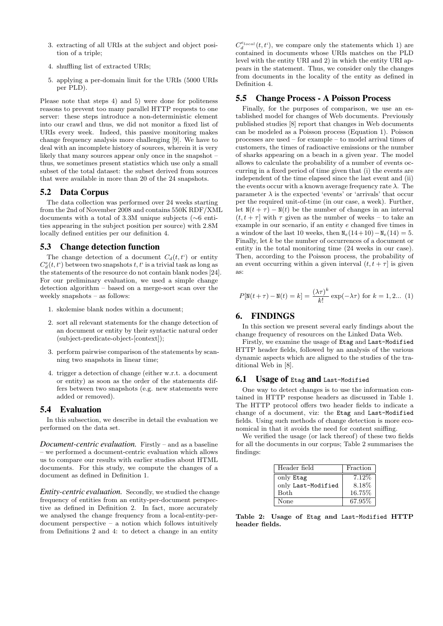- 3. extracting of all URIs at the subject and object position of a triple;
- 4. shuffling list of extracted URIs;
- 5. applying a per-domain limit for the URIs (5000 URIs per PLD).

Please note that steps 4) and 5) were done for politeness reasons to prevent too many parallel HTTP requests to one server: these steps introduce a non-deterministic element into our crawl and thus, we did not monitor a fixed list of URIs every week. Indeed, this passive monitoring makes change frequency analysis more challenging [9]. We have to deal with an incomplete history of sources, wherein it is very likely that many sources appear only once in the snapshot – thus, we sometimes present statistics which use only a small subset of the total dataset: the subset derived from sources that were available in more than 20 of the 24 snapshots.

## 5.2 Data Corpus

The data collection was performed over 24 weeks starting from the 2nd of November 2008 and contains 550K RDF/XML documents with a total of 3.3M unique subjects (∼6 entities appearing in the subject position per source) with 2.8M locally defined entities per our definition 4.

## 5.3 Change detection function

The change detection of a document  $C_d(t, t')$  or entity  $C_d^e(t, t')$  between two snapshots  $t, t'$  is a trivial task as long as the statements of the resource do not contain blank nodes [24]. For our preliminary evaluation, we used a simple change detection algorithm – based on a merge-sort scan over the weekly snapshots – as follows:

- 1. skolemise blank nodes within a document;
- 2. sort all relevant statements for the change detection of an document or entity by their syntactic natural order (subject-predicate-object-[context]);
- 3. perform pairwise comparison of the statements by scanning two snapshots in linear time;
- 4. trigger a detection of change (either w.r.t. a document or entity) as soon as the order of the statements differs between two snapshots (e.g. new statements were added or removed).

#### 5.4 Evaluation

In this subsection, we describe in detail the evaluation we performed on the data set.

*Document-centric evaluation.* Firstly – and as a baseline – we performed a document-centric evaluation which allows us to compare our results with earlier studies about HTML documents. For this study, we compute the changes of a document as defined in Definition 1.

*Entity-centric evaluation.* Secondly, we studied the change frequency of entities from an entity-per-document perspective as defined in Definition 2. In fact, more accurately we analysed the change frequency from a local-entity-perdocument perspective – a notion which follows intuitively from Definitions 2 and 4: to detect a change in an entity

 $C_d^{e_{local}}(t,t^{\prime}),$  we compare only the statements which 1) are contained in documents whose URIs matches on the PLD level with the entity URI and 2) in which the entity URI appears in the statement. Thus, we consider only the changes from documents in the locality of the entity as defined in Definition 4.

## 5.5 Change Process - A Poisson Process

Finally, for the purposes of comparison, we use an established model for changes of Web documents. Previously published studies [8] report that changes in Web documents can be modeled as a Poisson process (Equation 1). Poisson processes are used – for example – to model arrival times of customers, the times of radioactive emissions or the number of sharks appearing on a beach in a given year. The model allows to calculate the probability of a number of events occurring in a fixed period of time given that (i) the events are independent of the time elapsed since the last event and (ii) the events occur with a known average frequency rate  $\lambda$ . The parameter  $\lambda$  is the expected 'events' or 'arrivals' that occur per the required unit-of-time (in our case, a week). Further, let  $N(t + \tau) - N(t)$  be the number of changes in an interval  $(t, t + \tau]$  with  $\tau$  given as the number of weeks – to take an example in our scenario, if an entity e changed five times in a window of the last 10 weeks, then  $N_e(14+10)-N_e(14) = 5$ . Finally, let k be the number of occurrences of a document or entity in the total monitoring time (24 weeks in our case). Then, according to the Poisson process, the probability of an event occurring within a given interval  $(t, t + \tau]$  is given as:

$$
P[\mathbf{N}(t+\tau)-\mathbf{N}(t)=k]=\frac{\left(\lambda\tau\right)^k}{k!}\exp(-\lambda\tau)\text{ for }k=1,2... \text{ (1)}
$$

## 6. FINDINGS

In this section we present several early findings about the change frequency of resources on the Linked Data Web.

Firstly, we examine the usage of Etag and Last-Modified HTTP header fields, followed by an analysis of the various dynamic aspects which are aligned to the studies of the traditional Web in [8].

#### **6.1 Usage of Etag and Last-Modified**

One way to detect changes is to use the information contained in HTTP response headers as discussed in Table 1. The HTTP protocol offers two header fields to indicate a change of a document, viz: the Etag and Last-Modified fields. Using such methods of change detection is more economical in that it avoids the need for content sniffing.

We verified the usage (or lack thereof) of these two fields for all the documents in our corpus; Table 2 summarises the findings:

| Header field       | Fraction |
|--------------------|----------|
| only Etag          | 7.12\%   |
| only Last-Modified | 8.18%    |
| Both               | 16.75%   |
| None               | 67.95%   |

Table 2: Usage of Etag and Last-Modified HTTP header fields.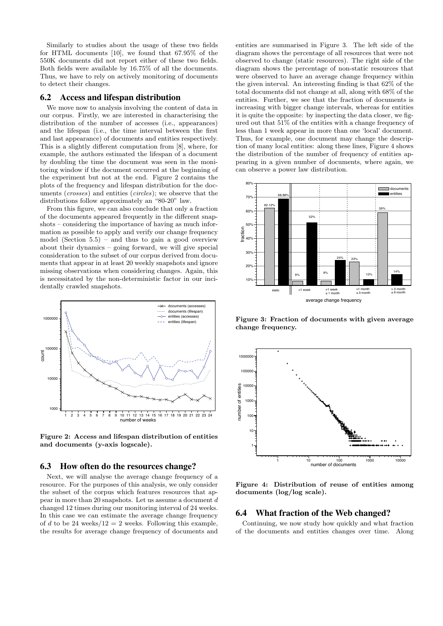Similarly to studies about the usage of these two fields for HTML documents [10], we found that 67.95% of the 550K documents did not report either of these two fields. Both fields were available by 16.75% of all the documents. Thus, we have to rely on actively monitoring of documents to detect their changes.

#### 6.2 Access and lifespan distribution

We move now to analysis involving the content of data in our corpus. Firstly, we are interested in characterising the distribution of the number of accesses (i.e., appearances) and the lifespan (i.e., the time interval between the first and last appearance) of documents and entities respectively. This is a slightly different computation from [8], where, for example, the authors estimated the lifespan of a document by doubling the time the document was seen in the monitoring window if the document occurred at the beginning of the experiment but not at the end. Figure 2 contains the plots of the frequency and lifespan distribution for the documents (crosses) and entities (circles); we observe that the distributions follow approximately an "80-20" law.

From this figure, we can also conclude that only a fraction of the documents appeared frequently in the different snapshots – considering the importance of having as much information as possible to apply and verify our change frequency model (Section 5.5) – and thus to gain a good overview about their dynamics – going forward, we will give special consideration to the subset of our corpus derived from documents that appear in at least 20 weekly snapshots and ignore missing observations when considering changes. Again, this is necessitated by the non-deterministic factor in our incidentally crawled snapshots.



Figure 2: Access and lifespan distribution of entities and documents (y-axis logscale).

#### 6.3 How often do the resources change?

Next, we will analyse the average change frequency of a resource. For the purposes of this analysis, we only consider the subset of the corpus which features resources that appear in more than 20 snapshots. Let us assume a document d changed 12 times during our monitoring interval of 24 weeks. In this case we can estimate the average change frequency of d to be 24 weeks/12 = 2 weeks. Following this example, the results for average change frequency of documents and

entities are summarised in Figure 3. The left side of the diagram shows the percentage of all resources that were not observed to change (static resources). The right side of the diagram shows the percentage of non-static resources that were observed to have an average change frequency within the given interval. An interesting finding is that 62% of the total documents did not change at all, along with 68% of the entities. Further, we see that the fraction of documents is increasing with bigger change intervals, whereas for entities it is quite the opposite: by inspecting the data closer, we figured out that 51% of the entities with a change frequency of less than 1 week appear in more than one 'local' document. Thus, for example, one document may change the description of many local entities: along these lines, Figure 4 shows the distribution of the number of frequency of entities appearing in a given number of documents, where again, we can observe a power law distribution.



Figure 3: Fraction of documents with given average change frequency.



Figure 4: Distribution of reuse of entities among documents (log/log scale).

#### 6.4 What fraction of the Web changed?

Continuing, we now study how quickly and what fraction of the documents and entities changes over time. Along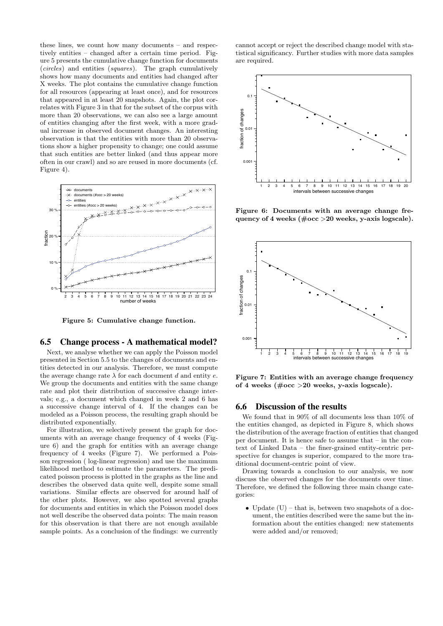these lines, we count how many documents – and respectively entities – changed after a certain time period. Figure 5 presents the cumulative change function for documents (circles) and entities (squares). The graph cumulatively shows how many documents and entities had changed after X weeks. The plot contains the cumulative change function for all resources (appearing at least once), and for resources that appeared in at least 20 snapshots. Again, the plot correlates with Figure 3 in that for the subset of the corpus with more than 20 observations, we can also see a large amount of entities changing after the first week, with a more gradual increase in observed document changes. An interesting observation is that the entities with more than 20 observations show a higher propensity to change; one could assume that such entities are better linked (and thus appear more often in our crawl) and so are reused in more documents (cf. Figure 4).



Figure 5: Cumulative change function.

#### 6.5 Change process - A mathematical model?

Next, we analyse whether we can apply the Poisson model presented in Section 5.5 to the changes of documents and entities detected in our analysis. Therefore, we must compute the average change rate  $\lambda$  for each document d and entity e. We group the documents and entities with the same change rate and plot their distribution of successive change intervals; e.g., a document which changed in week 2 and 6 has a successive change interval of 4. If the changes can be modeled as a Poisson process, the resulting graph should be distributed exponentially.

For illustration, we selectively present the graph for documents with an average change frequency of 4 weeks (Figure 6) and the graph for entities with an average change frequency of 4 weeks (Figure 7). We performed a Poisson regression ( log-linear regression) and use the maximum likelihood method to estimate the parameters. The predicated poisson process is plotted in the graphs as the line and describes the observed data quite well, despite some small variations. Similar effects are observed for around half of the other plots. However, we also spotted several graphs for documents and entities in which the Poisson model does not well describe the observed data points: The main reason for this observation is that there are not enough available sample points. As a conclusion of the findings: we currently

cannot accept or reject the described change model with statistical significancy. Further studies with more data samples are required.



Figure 6: Documents with an average change frequency of 4 weeks ( $\#\text{occ} > 20$  weeks, y-axis logscale).



Figure 7: Entities with an average change frequency of 4 weeks  $(\text{\#occ}>20$  weeks, y-axis logscale).

#### 6.6 Discussion of the results

We found that in 90% of all documents less than 10% of the entities changed, as depicted in Figure 8, which shows the distribution of the average fraction of entities that changed per document. It is hence safe to assume that – in the context of Linked Data – the finer-grained entity-centric perspective for changes is superior, compared to the more traditional document-centric point of view.

Drawing towards a conclusion to our analysis, we now discuss the observed changes for the documents over time. Therefore, we defined the following three main change categories:

• Update  $(U)$  – that is, between two snapshots of a document, the entities described were the same but the information about the entities changed: new statements were added and/or removed;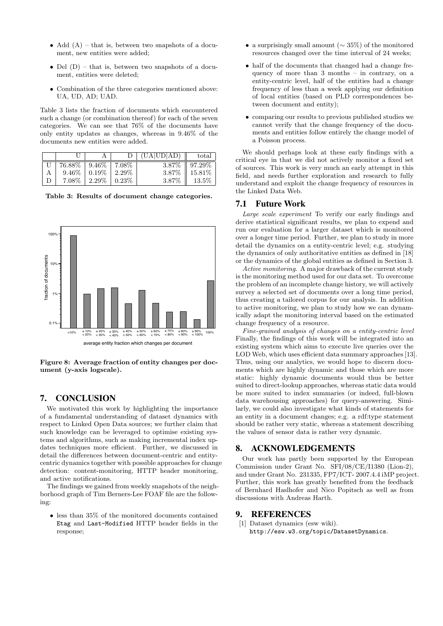- Add  $(A)$  that is, between two snapshots of a document, new entities were added;
- Del  $(D)$  that is, between two snapshots of a document, entities were deleted;
- Combination of the three categories mentioned above: UA, UD, AD; UAD.

Table 3 lists the fraction of documents which encountered such a change (or combination thereof) for each of the seven categories. We can see that 76% of the documents have only entity updates as changes, whereas in 9.46% of the documents new entities were added.

|          |          |          | (UA UD AD) | total     |
|----------|----------|----------|------------|-----------|
| 76.88%   | $9.46\%$ | 7.08%    | 3.87\%     | $97.29\%$ |
| $9.46\%$ | $0.19\%$ | $2.29\%$ | 3.87\%     | 15.81\%   |
| $7.08\%$ | $2.29\%$ | $0.23\%$ | 3.87%      | $13.5\%$  |

Table 3: Results of document change categories.



Figure 8: Average fraction of entity changes per document (y-axis logscale).

## 7. CONCLUSION

We motivated this work by highlighting the importance of a fundamental understanding of dataset dynamics with respect to Linked Open Data sources; we further claim that such knowledge can be leveraged to optimise existing systems and algorithms, such as making incremental index updates techniques more efficient. Further, we discussed in detail the differences between document-centric and entitycentric dynamics together with possible approaches for change detection: content-monitoring, HTTP header monitoring, and active notifications.

The findings we gained from weekly snapshots of the neighborhood graph of Tim Berners-Lee FOAF file are the following:

• less than 35% of the monitored documents contained Etag and Last-Modified HTTP header fields in the response;

- a surprisingly small amount  $(\sim 35\%)$  of the monitored resources changed over the time interval of 24 weeks;
- half of the documents that changed had a change frequency of more than 3 months – in contrary, on a entity-centric level, half of the entities had a change frequency of less than a week applying our definition of local entities (based on PLD correspondences between document and entity);
- comparing our results to previous published studies we cannot verify that the change frequency of the documents and entities follow entirely the change model of a Poisson process.

We should perhaps look at these early findings with a critical eye in that we did not actively monitor a fixed set of sources. This work is very much an early attempt in this field, and needs further exploration and research to fully understand and exploit the change frequency of resources in the Linked Data Web.

## 7.1 Future Work

Large scale experiment To verify our early findings and derive statistical significant results, we plan to expend and run our evaluation for a larger dataset which is monitored over a longer time period. Further, we plan to study in more detail the dynamics on a entity-centric level; e.g. studying the dynamics of only authoritative entities as defined in [18] or the dynamics of the global entities as defined in Section 3.

Active monitoring. A major drawback of the current study is the monitoring method used for our data set. To overcome the problem of an incomplete change history, we will actively survey a selected set of documents over a long time period, thus creating a tailored corpus for our analysis. In addition to active monitoring, we plan to study how we can dynamically adapt the monitoring interval based on the estimated change frequency of a resource.

Fine-grained analysis of changes on a entity-centric level Finally, the findings of this work will be integrated into an existing system which aims to execute live queries over the LOD Web, which uses efficient data summary approaches [13]. Thus, using our analytics, we would hope to discern documents which are highly dynamic and those which are more static: highly dynamic documents would thus be better suited to direct-lookup approaches, whereas static data would be more suited to index summaries (or indeed, full-blown data warehousing approaches) for query-answering. Similarly, we could also investigate what kinds of statements for an entity in a document changes; e.g. a rdf:type statement should be rather very static, whereas a statement describing the values of sensor data is rather very dynamic.

## 8. ACKNOWLEDGEMENTS

Our work has partly been supported by the European Commission under Grant No. SFI/08/CE/I1380 (Lion-2), and under Grant No. 231335, FP7/ICT- 2007.4.4 iMP project. Further, this work has greatly benefited from the feedback of Bernhard Haslhofer and Nico Popitsch as well as from discussions with Andreas Harth.

#### 9. REFERENCES

[1] Dataset dynamics (esw wiki). http://esw.w3.org/topic/DatasetDynamics.